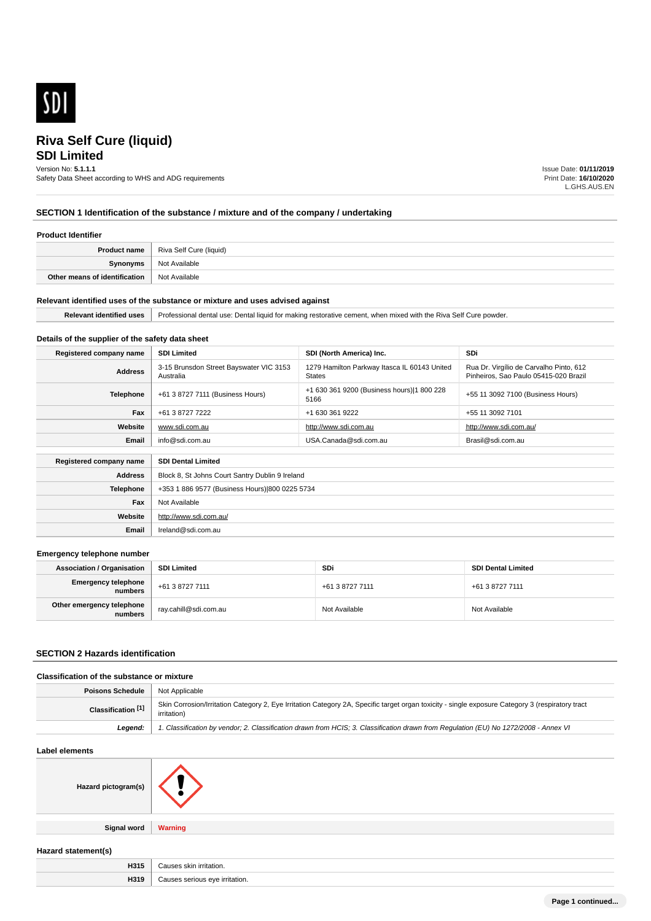

# **SDI Limited**

Version No: **5.1.1.1**

Safety Data Sheet according to WHS and ADG requirements

Issue Date: **01/11/2019** Print Date: **16/10/2020** L.GHS.AUS.EN

# **SECTION 1 Identification of the substance / mixture and of the company / undertaking**

#### **Product Identifier**

| Product name                  | Riva Self Cure (liquid) |
|-------------------------------|-------------------------|
| Synonyms                      | Not Available           |
| Other means of identification | Not Available           |

#### **Relevant identified uses of the substance or mixture and uses advised against**

**Email** Ireland@sdi.com.au

|  | when mixed<br>Dental liquid for<br><i><u>Protocciona</u></i><br>∹elt ∶<br>with the<br>2ure<br><b>RIVA</b><br>' makınd<br>i restorative cement.<br>use.<br>dental<br>ᆡᆝ<br>. |
|--|-----------------------------------------------------------------------------------------------------------------------------------------------------------------------------|
|--|-----------------------------------------------------------------------------------------------------------------------------------------------------------------------------|

#### **Details of the supplier of the safety data sheet**

| Registered company name                              | <b>SDI Limited</b>                                   | SDI (North America) Inc.                                      | SDi                                                                              |
|------------------------------------------------------|------------------------------------------------------|---------------------------------------------------------------|----------------------------------------------------------------------------------|
| <b>Address</b>                                       | 3-15 Brunsdon Street Bayswater VIC 3153<br>Australia | 1279 Hamilton Parkway Itasca IL 60143 United<br><b>States</b> | Rua Dr. Virgílio de Carvalho Pinto, 612<br>Pinheiros, Sao Paulo 05415-020 Brazil |
| <b>Telephone</b>                                     | +61 3 8727 7111 (Business Hours)                     | +1 630 361 9200 (Business hours) 1 800 228<br>5166            | +55 11 3092 7100 (Business Hours)                                                |
| Fax                                                  | +61 3 8727 7222                                      | +1 630 361 9222                                               | +55 11 3092 7101                                                                 |
| Website                                              | www.sdi.com.au                                       | http://www.sdi.com.au                                         | http://www.sdi.com.au/                                                           |
| Email                                                | info@sdi.com.au                                      | USA.Canada@sdi.com.au                                         | Brasil@sdi.com.au                                                                |
| <b>SDI Dental Limited</b><br>Registered company name |                                                      |                                                               |                                                                                  |
| <b>Address</b>                                       | Block 8, St Johns Court Santry Dublin 9 Ireland      |                                                               |                                                                                  |
| <b>Telephone</b>                                     | +353 1 886 9577 (Business Hours) 800 0225 5734       |                                                               |                                                                                  |
| Fax                                                  | Not Available                                        |                                                               |                                                                                  |
| Website                                              | http://www.sdi.com.au/                               |                                                               |                                                                                  |

#### **Emergency telephone number**

| <b>Association / Organisation</b>     | <b>SDI Limited</b>    | SDi             | <b>SDI Dental Limited</b> |
|---------------------------------------|-----------------------|-----------------|---------------------------|
| <b>Emergency telephone</b><br>numbers | +61 3 8727 7111       | +61 3 8727 7111 | +61 3 8727 7111           |
| Other emergency telephone<br>numbers  | ray.cahill@sdi.com.au | Not Available   | Not Available             |

## **SECTION 2 Hazards identification**

# **Classification of the substance or mixture**

| <b>Poisons Schedule</b> Not Applicable |                                                                                                                                                                 |
|----------------------------------------|-----------------------------------------------------------------------------------------------------------------------------------------------------------------|
| Classification <sup>[1]</sup>          | Skin Corrosion/Irritation Category 2, Eye Irritation Category 2A, Specific target organ toxicity - single exposure Category 3 (respiratory tract<br>irritation) |
| Leaend:                                | 1. Classification by vendor; 2. Classification drawn from HCIS; 3. Classification drawn from Regulation (EU) No 1272/2008 - Annex VI                            |

### **Label elements**

| Hazard pictogram(s) |                |
|---------------------|----------------|
| <b>Signal word</b>  | <b>Warning</b> |

# **Hazard statement(s)**

| H315 | alein<br>ritation.<br>.             |
|------|-------------------------------------|
| H319 | irritation.<br>010<br>erious :<br>. |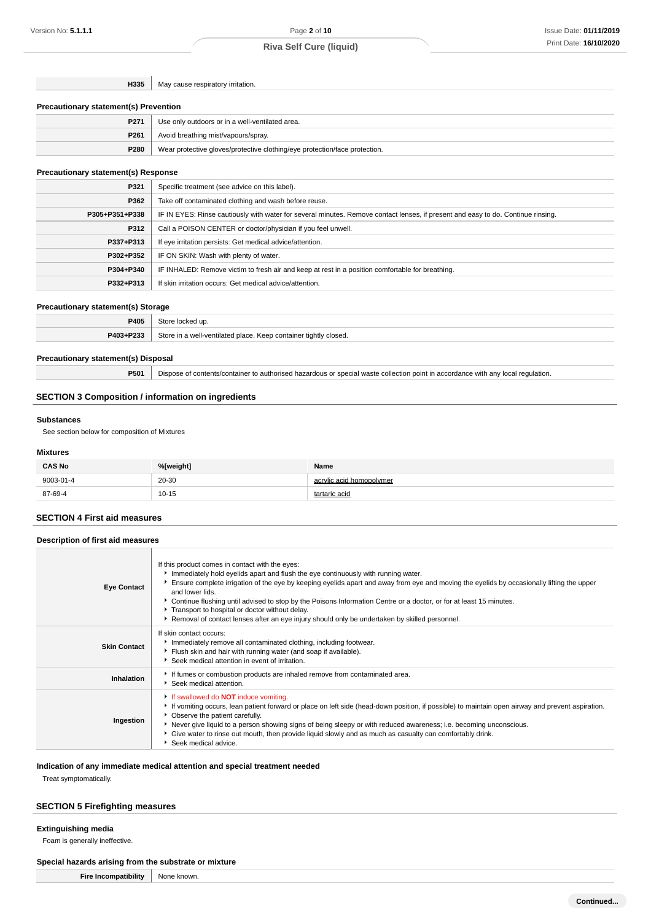**H335** May cause respiratory irritation.

#### **Precautionary statement(s) Prevention**

| P271 | Use only outdoors or in a well-ventilated area.                            |
|------|----------------------------------------------------------------------------|
| P261 | Avoid breathing mist/vapours/spray.                                        |
| P280 | Wear protective gloves/protective clothing/eye protection/face protection. |

# **Precautionary statement(s) Response**

| P321           | Specific treatment (see advice on this label).                                                                                   |  |
|----------------|----------------------------------------------------------------------------------------------------------------------------------|--|
| P362           | Take off contaminated clothing and wash before reuse.                                                                            |  |
| P305+P351+P338 | IF IN EYES: Rinse cautiously with water for several minutes. Remove contact lenses, if present and easy to do. Continue rinsing. |  |
| P312           | Call a POISON CENTER or doctor/physician if you feel unwell.                                                                     |  |
| P337+P313      | If eye irritation persists: Get medical advice/attention.                                                                        |  |
| P302+P352      | IF ON SKIN: Wash with plenty of water.                                                                                           |  |
| P304+P340      | IF INHALED: Remove victim to fresh air and keep at rest in a position comfortable for breathing.                                 |  |
| P332+P313      | If skin irritation occurs: Get medical advice/attention.                                                                         |  |

#### **Precautionary statement(s) Storage**

| ___       | __                                                               |
|-----------|------------------------------------------------------------------|
| P40!      | up                                                               |
| P403+P233 | Store in a well-ventilated place. Keep container tightly closed. |
|           |                                                                  |

#### **Precautionary statement(s) Disposal**

**P501** Dispose of contents/container to authorised hazardous or special waste collection point in accordance with any local regulation.

# **SECTION 3 Composition / information on ingredients**

#### **Substances**

See section below for composition of Mixtures

## **Mixtures**

| <b>CAS No</b> | %[weight] | Name                     |
|---------------|-----------|--------------------------|
| 9003-01-4     | 20-30     | acrylic acid homopolymer |
| 87-69-4       | $10 - 15$ | tartaric acid            |

# **SECTION 4 First aid measures Description of first aid measures**

| <b>Eye Contact</b>  | If this product comes in contact with the eyes:<br>Immediately hold eyelids apart and flush the eye continuously with running water.<br>Ensure complete irrigation of the eye by keeping eyelids apart and away from eye and moving the eyelids by occasionally lifting the upper<br>and lower lids.<br>• Continue flushing until advised to stop by the Poisons Information Centre or a doctor, or for at least 15 minutes.<br>Transport to hospital or doctor without delay.<br>▶ Removal of contact lenses after an eye injury should only be undertaken by skilled personnel. |
|---------------------|-----------------------------------------------------------------------------------------------------------------------------------------------------------------------------------------------------------------------------------------------------------------------------------------------------------------------------------------------------------------------------------------------------------------------------------------------------------------------------------------------------------------------------------------------------------------------------------|
| <b>Skin Contact</b> | If skin contact occurs:<br>Immediately remove all contaminated clothing, including footwear.<br>Flush skin and hair with running water (and soap if available).<br>Seek medical attention in event of irritation.                                                                                                                                                                                                                                                                                                                                                                 |
| Inhalation          | If fumes or combustion products are inhaled remove from contaminated area.<br>Seek medical attention.                                                                                                                                                                                                                                                                                                                                                                                                                                                                             |
| Ingestion           | If swallowed do <b>NOT</b> induce vomiting.<br>If vomiting occurs, lean patient forward or place on left side (head-down position, if possible) to maintain open airway and prevent aspiration.<br>• Observe the patient carefully.<br>▶ Never give liquid to a person showing signs of being sleepy or with reduced awareness; i.e. becoming unconscious.<br>Give water to rinse out mouth, then provide liquid slowly and as much as casualty can comfortably drink.<br>Seek medical advice.                                                                                    |

# **Indication of any immediate medical attention and special treatment needed**

Treat symptomatically.

# **SECTION 5 Firefighting measures**

#### **Extinguishing media**

Foam is generally ineffective.

#### **Special hazards arising from the substrate or mixture**

**Fire Incompatibility** None known.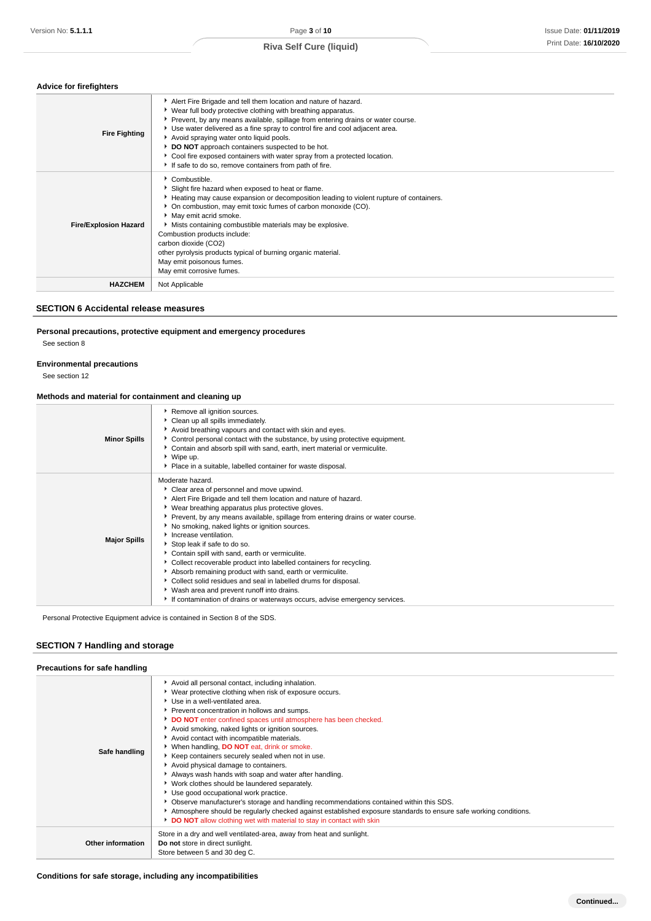#### **Advice for firefighters**

| <b>Fire Fighting</b>         | Alert Fire Brigade and tell them location and nature of hazard.<br>▶ Wear full body protective clothing with breathing apparatus.<br>▶ Prevent, by any means available, spillage from entering drains or water course.<br>▶ Use water delivered as a fine spray to control fire and cool adjacent area.<br>Avoid spraying water onto liquid pools.<br>DO NOT approach containers suspected to be hot.<br>Cool fire exposed containers with water spray from a protected location.<br>If safe to do so, remove containers from path of fire. |
|------------------------------|---------------------------------------------------------------------------------------------------------------------------------------------------------------------------------------------------------------------------------------------------------------------------------------------------------------------------------------------------------------------------------------------------------------------------------------------------------------------------------------------------------------------------------------------|
| <b>Fire/Explosion Hazard</b> | Combustible.<br>Slight fire hazard when exposed to heat or flame.<br>Heating may cause expansion or decomposition leading to violent rupture of containers.<br>• On combustion, may emit toxic fumes of carbon monoxide (CO).<br>May emit acrid smoke.<br>Mists containing combustible materials may be explosive.<br>Combustion products include:<br>carbon dioxide (CO2)<br>other pyrolysis products typical of burning organic material.<br>May emit poisonous fumes.<br>May emit corrosive fumes.                                       |
| <b>HAZCHEM</b>               | Not Applicable                                                                                                                                                                                                                                                                                                                                                                                                                                                                                                                              |

# **SECTION 6 Accidental release measures**

# **Personal precautions, protective equipment and emergency procedures**

See section 8

# **Environmental precautions**

See section 12

# **Methods and material for containment and cleaning up**

| <b>Minor Spills</b> | Remove all ignition sources.<br>Clean up all spills immediately.<br>Avoid breathing vapours and contact with skin and eyes.<br>▶ Control personal contact with the substance, by using protective equipment.<br>• Contain and absorb spill with sand, earth, inert material or vermiculite.<br>▶ Wipe up.<br>Place in a suitable, labelled container for waste disposal.                                                                                                                                                                                                                                                                                                                                                                                                      |
|---------------------|-------------------------------------------------------------------------------------------------------------------------------------------------------------------------------------------------------------------------------------------------------------------------------------------------------------------------------------------------------------------------------------------------------------------------------------------------------------------------------------------------------------------------------------------------------------------------------------------------------------------------------------------------------------------------------------------------------------------------------------------------------------------------------|
| <b>Major Spills</b> | Moderate hazard.<br>Clear area of personnel and move upwind.<br>Alert Fire Brigade and tell them location and nature of hazard.<br>▶ Wear breathing apparatus plus protective gloves.<br>▶ Prevent, by any means available, spillage from entering drains or water course.<br>No smoking, naked lights or ignition sources.<br>Increase ventilation.<br>Stop leak if safe to do so.<br>Contain spill with sand, earth or vermiculite.<br>• Collect recoverable product into labelled containers for recycling.<br>Absorb remaining product with sand, earth or vermiculite.<br>• Collect solid residues and seal in labelled drums for disposal.<br>▶ Wash area and prevent runoff into drains.<br>If contamination of drains or waterways occurs, advise emergency services. |

Personal Protective Equipment advice is contained in Section 8 of the SDS.

# **SECTION 7 Handling and storage**

| Precautions for safe handling |                                                                                                                                                                                                                                                                                                                                                                                                                                                                                                                                                                                                                                                                                                                                                                                                                                                                                                                                                                   |
|-------------------------------|-------------------------------------------------------------------------------------------------------------------------------------------------------------------------------------------------------------------------------------------------------------------------------------------------------------------------------------------------------------------------------------------------------------------------------------------------------------------------------------------------------------------------------------------------------------------------------------------------------------------------------------------------------------------------------------------------------------------------------------------------------------------------------------------------------------------------------------------------------------------------------------------------------------------------------------------------------------------|
| Safe handling                 | Avoid all personal contact, including inhalation.<br>▶ Wear protective clothing when risk of exposure occurs.<br>▶ Use in a well-ventilated area.<br>Prevent concentration in hollows and sumps.<br>DO NOT enter confined spaces until atmosphere has been checked.<br>Avoid smoking, naked lights or ignition sources.<br>Avoid contact with incompatible materials.<br>When handling, <b>DO NOT</b> eat, drink or smoke.<br>Keep containers securely sealed when not in use.<br>Avoid physical damage to containers.<br>Always wash hands with soap and water after handling.<br>▶ Work clothes should be laundered separately.<br>Use good occupational work practice.<br>▶ Observe manufacturer's storage and handling recommendations contained within this SDS.<br>Atmosphere should be regularly checked against established exposure standards to ensure safe working conditions.<br>DO NOT allow clothing wet with material to stay in contact with skin |
| <b>Other information</b>      | Store in a dry and well ventilated-area, away from heat and sunlight.<br>Do not store in direct sunlight.<br>Store between 5 and 30 deg C.                                                                                                                                                                                                                                                                                                                                                                                                                                                                                                                                                                                                                                                                                                                                                                                                                        |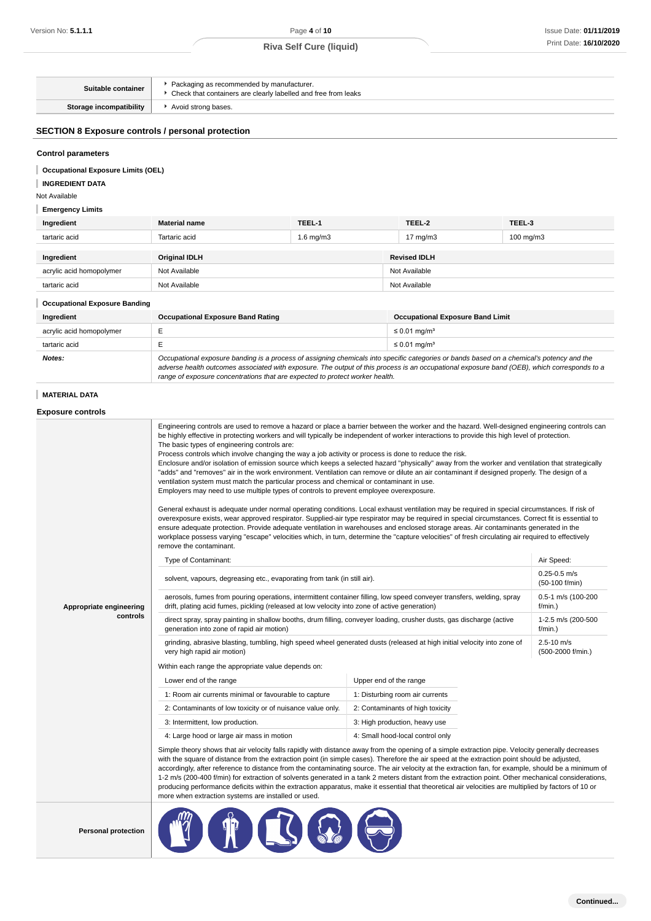| Suitable container             | Packaging as recommended by manufacturer.<br>• Check that containers are clearly labelled and free from leaks |
|--------------------------------|---------------------------------------------------------------------------------------------------------------|
| <b>Storage incompatibility</b> | Avoid strong bases.                                                                                           |

# **SECTION 8 Exposure controls / personal protection**

#### **Control parameters**

# **Occupational Exposure Limits (OEL)**

# **INGREDIENT DATA**

Not Available

# **Emergency Limits**

| Ingredient               | <b>Material name</b> | TEEL-1         | TEEL-2              | TEEL-3               |
|--------------------------|----------------------|----------------|---------------------|----------------------|
| tartaric acid            | Tartaric acid        | $1.6$ mg/m $3$ | $17 \text{ mg/m}$ 3 | $100 \text{ mg/m}$ 3 |
|                          |                      |                |                     |                      |
| Ingredient               | <b>Original IDLH</b> |                | <b>Revised IDLH</b> |                      |
| acrylic acid homopolymer | Not Available        |                | Not Available       |                      |
| tartaric acid            | Not Available        |                | Not Available       |                      |

# **Occupational Exposure Banding**

| Ingredient               | <b>Occupational Exposure Band Rating</b>                                                                                                                                                                                                                                                 | <b>Occupational Exposure Band Limit</b> |
|--------------------------|------------------------------------------------------------------------------------------------------------------------------------------------------------------------------------------------------------------------------------------------------------------------------------------|-----------------------------------------|
| acrylic acid homopolymer |                                                                                                                                                                                                                                                                                          | $\leq 0.01$ ma/m <sup>3</sup>           |
| tartaric acid            |                                                                                                                                                                                                                                                                                          | $\leq 0.01$ ma/m <sup>3</sup>           |
| Notes:                   | Occupational exposure banding is a process of assigning chemicals into specific categories or bands based on a chemical's potency and the<br>adverse health outcomes associated with exposure. The output of this process is an occupational exposure band (OEB), which corresponds to a |                                         |

range of exposure concentrations that are expected to protect worker health.

**MATERIAL DATA**

# **Exposure controls**

|                         | Engineering controls are used to remove a hazard or place a barrier between the worker and the hazard. Well-designed engineering controls can<br>be highly effective in protecting workers and will typically be independent of worker interactions to provide this high level of protection.<br>The basic types of engineering controls are:<br>Process controls which involve changing the way a job activity or process is done to reduce the risk.<br>Enclosure and/or isolation of emission source which keeps a selected hazard "physically" away from the worker and ventilation that strategically<br>"adds" and "removes" air in the work environment. Ventilation can remove or dilute an air contaminant if designed properly. The design of a<br>ventilation system must match the particular process and chemical or contaminant in use.<br>Employers may need to use multiple types of controls to prevent employee overexposure.<br>General exhaust is adequate under normal operating conditions. Local exhaust ventilation may be required in special circumstances. If risk of<br>overexposure exists, wear approved respirator. Supplied-air type respirator may be required in special circumstances. Correct fit is essential to<br>ensure adequate protection. Provide adequate ventilation in warehouses and enclosed storage areas. Air contaminants generated in the<br>workplace possess varying "escape" velocities which, in turn, determine the "capture velocities" of fresh circulating air required to effectively<br>remove the contaminant. |                                  |                                     |  |
|-------------------------|-------------------------------------------------------------------------------------------------------------------------------------------------------------------------------------------------------------------------------------------------------------------------------------------------------------------------------------------------------------------------------------------------------------------------------------------------------------------------------------------------------------------------------------------------------------------------------------------------------------------------------------------------------------------------------------------------------------------------------------------------------------------------------------------------------------------------------------------------------------------------------------------------------------------------------------------------------------------------------------------------------------------------------------------------------------------------------------------------------------------------------------------------------------------------------------------------------------------------------------------------------------------------------------------------------------------------------------------------------------------------------------------------------------------------------------------------------------------------------------------------------------------------------------------------------------------------------|----------------------------------|-------------------------------------|--|
|                         | Type of Contaminant:                                                                                                                                                                                                                                                                                                                                                                                                                                                                                                                                                                                                                                                                                                                                                                                                                                                                                                                                                                                                                                                                                                                                                                                                                                                                                                                                                                                                                                                                                                                                                          |                                  | Air Speed:                          |  |
|                         | solvent, vapours, degreasing etc., evaporating from tank (in still air).                                                                                                                                                                                                                                                                                                                                                                                                                                                                                                                                                                                                                                                                                                                                                                                                                                                                                                                                                                                                                                                                                                                                                                                                                                                                                                                                                                                                                                                                                                      |                                  | $0.25 - 0.5$ m/s<br>(50-100 f/min)  |  |
| Appropriate engineering | aerosols, fumes from pouring operations, intermittent container filling, low speed conveyer transfers, welding, spray<br>drift, plating acid fumes, pickling (released at low velocity into zone of active generation)                                                                                                                                                                                                                                                                                                                                                                                                                                                                                                                                                                                                                                                                                                                                                                                                                                                                                                                                                                                                                                                                                                                                                                                                                                                                                                                                                        |                                  | 0.5-1 m/s (100-200<br>f/min.)       |  |
| controls                | direct spray, spray painting in shallow booths, drum filling, conveyer loading, crusher dusts, gas discharge (active<br>generation into zone of rapid air motion)                                                                                                                                                                                                                                                                                                                                                                                                                                                                                                                                                                                                                                                                                                                                                                                                                                                                                                                                                                                                                                                                                                                                                                                                                                                                                                                                                                                                             |                                  | 1-2.5 m/s (200-500<br>$f/min.$ )    |  |
|                         | grinding, abrasive blasting, tumbling, high speed wheel generated dusts (released at high initial velocity into zone of<br>very high rapid air motion)                                                                                                                                                                                                                                                                                                                                                                                                                                                                                                                                                                                                                                                                                                                                                                                                                                                                                                                                                                                                                                                                                                                                                                                                                                                                                                                                                                                                                        |                                  | $2.5 - 10$ m/s<br>(500-2000 f/min.) |  |
|                         | Within each range the appropriate value depends on:                                                                                                                                                                                                                                                                                                                                                                                                                                                                                                                                                                                                                                                                                                                                                                                                                                                                                                                                                                                                                                                                                                                                                                                                                                                                                                                                                                                                                                                                                                                           |                                  |                                     |  |
|                         | Lower end of the range                                                                                                                                                                                                                                                                                                                                                                                                                                                                                                                                                                                                                                                                                                                                                                                                                                                                                                                                                                                                                                                                                                                                                                                                                                                                                                                                                                                                                                                                                                                                                        | Upper end of the range           |                                     |  |
|                         | 1: Room air currents minimal or favourable to capture                                                                                                                                                                                                                                                                                                                                                                                                                                                                                                                                                                                                                                                                                                                                                                                                                                                                                                                                                                                                                                                                                                                                                                                                                                                                                                                                                                                                                                                                                                                         | 1: Disturbing room air currents  |                                     |  |
|                         | 2: Contaminants of low toxicity or of nuisance value only.                                                                                                                                                                                                                                                                                                                                                                                                                                                                                                                                                                                                                                                                                                                                                                                                                                                                                                                                                                                                                                                                                                                                                                                                                                                                                                                                                                                                                                                                                                                    | 2: Contaminants of high toxicity |                                     |  |
|                         | 3: Intermittent, low production.                                                                                                                                                                                                                                                                                                                                                                                                                                                                                                                                                                                                                                                                                                                                                                                                                                                                                                                                                                                                                                                                                                                                                                                                                                                                                                                                                                                                                                                                                                                                              | 3: High production, heavy use    |                                     |  |
|                         | 4: Large hood or large air mass in motion                                                                                                                                                                                                                                                                                                                                                                                                                                                                                                                                                                                                                                                                                                                                                                                                                                                                                                                                                                                                                                                                                                                                                                                                                                                                                                                                                                                                                                                                                                                                     | 4: Small hood-local control only |                                     |  |
|                         | Simple theory shows that air velocity falls rapidly with distance away from the opening of a simple extraction pipe. Velocity generally decreases<br>with the square of distance from the extraction point (in simple cases). Therefore the air speed at the extraction point should be adjusted,<br>accordingly, after reference to distance from the contaminating source. The air velocity at the extraction fan, for example, should be a minimum of<br>1-2 m/s (200-400 f/min) for extraction of solvents generated in a tank 2 meters distant from the extraction point. Other mechanical considerations,<br>producing performance deficits within the extraction apparatus, make it essential that theoretical air velocities are multiplied by factors of 10 or<br>more when extraction systems are installed or used.                                                                                                                                                                                                                                                                                                                                                                                                                                                                                                                                                                                                                                                                                                                                                |                                  |                                     |  |
|                         |                                                                                                                                                                                                                                                                                                                                                                                                                                                                                                                                                                                                                                                                                                                                                                                                                                                                                                                                                                                                                                                                                                                                                                                                                                                                                                                                                                                                                                                                                                                                                                               |                                  |                                     |  |

**Personal protection**

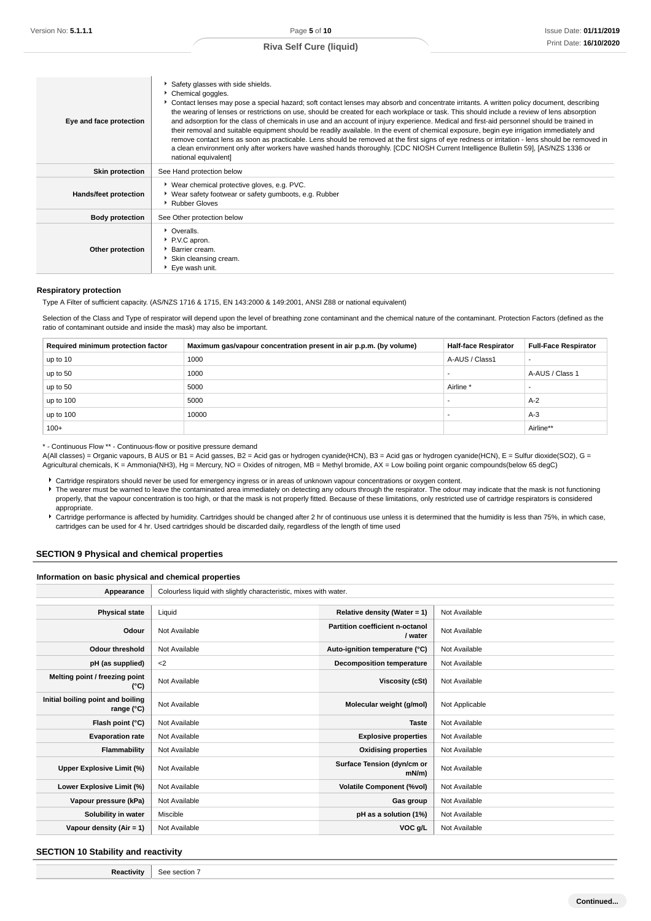| Eye and face protection | Safety glasses with side shields.<br>Chemical goggles.<br>Contact lenses may pose a special hazard; soft contact lenses may absorb and concentrate irritants. A written policy document, describing<br>the wearing of lenses or restrictions on use, should be created for each workplace or task. This should include a review of lens absorption<br>and adsorption for the class of chemicals in use and an account of injury experience. Medical and first-aid personnel should be trained in<br>their removal and suitable equipment should be readily available. In the event of chemical exposure, begin eye irrigation immediately and<br>remove contact lens as soon as practicable. Lens should be removed at the first signs of eye redness or irritation - lens should be removed in<br>a clean environment only after workers have washed hands thoroughly. [CDC NIOSH Current Intelligence Bulletin 59], [AS/NZS 1336 or<br>national equivalent] |
|-------------------------|---------------------------------------------------------------------------------------------------------------------------------------------------------------------------------------------------------------------------------------------------------------------------------------------------------------------------------------------------------------------------------------------------------------------------------------------------------------------------------------------------------------------------------------------------------------------------------------------------------------------------------------------------------------------------------------------------------------------------------------------------------------------------------------------------------------------------------------------------------------------------------------------------------------------------------------------------------------|
| <b>Skin protection</b>  | See Hand protection below                                                                                                                                                                                                                                                                                                                                                                                                                                                                                                                                                                                                                                                                                                                                                                                                                                                                                                                                     |
| Hands/feet protection   | ▶ Wear chemical protective gloves, e.g. PVC.<br>▶ Wear safety footwear or safety gumboots, e.g. Rubber<br>Rubber Gloves                                                                                                                                                                                                                                                                                                                                                                                                                                                                                                                                                                                                                                                                                                                                                                                                                                       |
| <b>Body protection</b>  | See Other protection below                                                                                                                                                                                                                                                                                                                                                                                                                                                                                                                                                                                                                                                                                                                                                                                                                                                                                                                                    |
| Other protection        | • Overalls.<br>P.V.C apron.<br>Barrier cream.<br>Skin cleansing cream.<br>Eye wash unit.                                                                                                                                                                                                                                                                                                                                                                                                                                                                                                                                                                                                                                                                                                                                                                                                                                                                      |

#### **Respiratory protection**

Type A Filter of sufficient capacity. (AS/NZS 1716 & 1715, EN 143:2000 & 149:2001, ANSI Z88 or national equivalent)

Selection of the Class and Type of respirator will depend upon the level of breathing zone contaminant and the chemical nature of the contaminant. Protection Factors (defined as the ratio of contaminant outside and inside the mask) may also be important.

| Required minimum protection factor | Maximum gas/vapour concentration present in air p.p.m. (by volume) | <b>Half-face Respirator</b> | <b>Full-Face Respirator</b> |
|------------------------------------|--------------------------------------------------------------------|-----------------------------|-----------------------------|
| up to 10                           | 1000                                                               | A-AUS / Class1              | -                           |
| up to 50                           | 1000                                                               |                             | A-AUS / Class 1             |
| up to 50                           | 5000                                                               | Airline                     |                             |
| up to 100                          | 5000                                                               |                             | $A-2$                       |
| up to $100$                        | 10000                                                              |                             | $A-3$                       |
| $100+$                             |                                                                    |                             | Airline**                   |

\* - Continuous Flow \*\* - Continuous-flow or positive pressure demand

A(All classes) = Organic vapours, B AUS or B1 = Acid gasses, B2 = Acid gas or hydrogen cyanide(HCN), B3 = Acid gas or hydrogen cyanide(HCN), E = Sulfur dioxide(SO2), G = Agricultural chemicals, K = Ammonia(NH3), Hg = Mercury, NO = Oxides of nitrogen, MB = Methyl bromide, AX = Low boiling point organic compounds(below 65 degC)

Cartridge respirators should never be used for emergency ingress or in areas of unknown vapour concentrations or oxygen content.

The wearer must be warned to leave the contaminated area immediately on detecting any odours through the respirator. The odour may indicate that the mask is not functioning properly, that the vapour concentration is too high, or that the mask is not properly fitted. Because of these limitations, only restricted use of cartridge respirators is considered appropriate.

▶ Cartridge performance is affected by humidity. Cartridges should be changed after 2 hr of continuous use unless it is determined that the humidity is less than 75%, in which case, cartridges can be used for 4 hr. Used cartridges should be discarded daily, regardless of the length of time used

# **SECTION 9 Physical and chemical properties**

#### **Information on basic physical and chemical properties**

**Appearance** Colourless liquid with slightly characteristic, mixes with water.

| <b>Physical state</b>                           | Liquid        | Relative density (Water = $1$ )                   | Not Available  |
|-------------------------------------------------|---------------|---------------------------------------------------|----------------|
| Odour                                           | Not Available | <b>Partition coefficient n-octanol</b><br>/ water | Not Available  |
| <b>Odour threshold</b>                          | Not Available | Auto-ignition temperature (°C)                    | Not Available  |
| pH (as supplied)                                | $<$ 2         | <b>Decomposition temperature</b>                  | Not Available  |
| Melting point / freezing point<br>(°C)          | Not Available | Viscosity (cSt)                                   | Not Available  |
| Initial boiling point and boiling<br>range (°C) | Not Available | Molecular weight (g/mol)                          | Not Applicable |
| Flash point (°C)                                | Not Available | <b>Taste</b>                                      | Not Available  |
| <b>Evaporation rate</b>                         | Not Available | <b>Explosive properties</b>                       | Not Available  |
| Flammability                                    | Not Available | <b>Oxidising properties</b>                       | Not Available  |
| Upper Explosive Limit (%)                       | Not Available | Surface Tension (dyn/cm or<br>$mN/m$ )            | Not Available  |
| Lower Explosive Limit (%)                       | Not Available | <b>Volatile Component (%vol)</b>                  | Not Available  |
| Vapour pressure (kPa)                           | Not Available | Gas group                                         | Not Available  |
| Solubility in water                             | Miscible      | pH as a solution (1%)                             | Not Available  |
| Vapour density (Air = 1)                        | Not Available | VOC g/L                                           | Not Available  |

#### **SECTION 10 Stability and reactivity**

**Reactivity** See section 7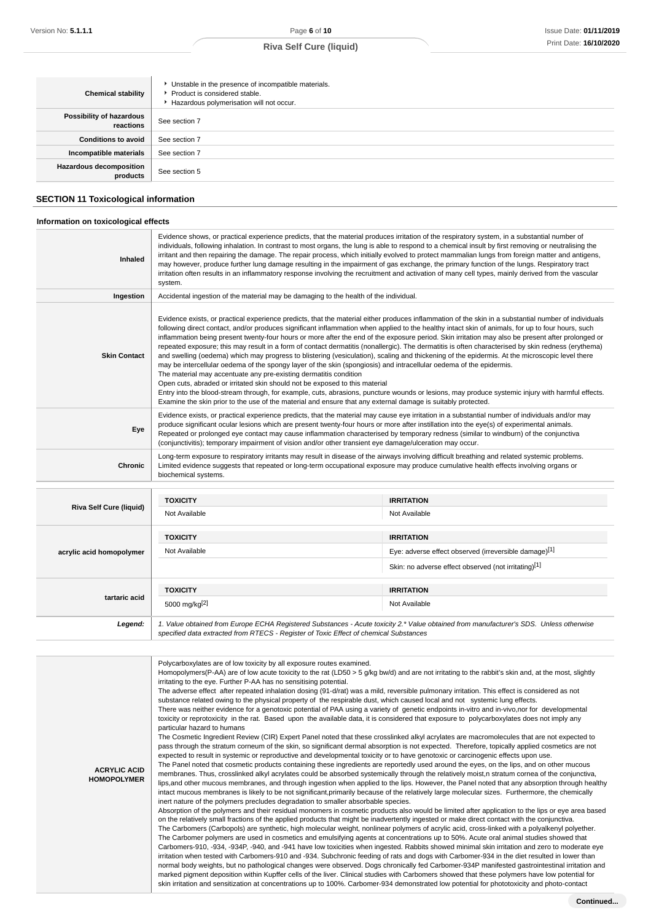| <b>Chemical stability</b>                  | • Unstable in the presence of incompatible materials.<br>▶ Product is considered stable.<br>Hazardous polymerisation will not occur. |
|--------------------------------------------|--------------------------------------------------------------------------------------------------------------------------------------|
| Possibility of hazardous<br>reactions      | See section 7                                                                                                                        |
| <b>Conditions to avoid</b>                 | See section 7                                                                                                                        |
| Incompatible materials                     | See section 7                                                                                                                        |
| <b>Hazardous decomposition</b><br>products | See section 5                                                                                                                        |

# **SECTION 11 Toxicological information**

# **Information on toxicological effects**

| <b>Inhaled</b>                 | Evidence shows, or practical experience predicts, that the material produces irritation of the respiratory system, in a substantial number of<br>individuals, following inhalation. In contrast to most organs, the lung is able to respond to a chemical insult by first removing or neutralising the<br>irritant and then repairing the damage. The repair process, which initially evolved to protect mammalian lungs from foreign matter and antigens,<br>may however, produce further lung damage resulting in the impairment of gas exchange, the primary function of the lungs. Respiratory tract<br>irritation often results in an inflammatory response involving the recruitment and activation of many cell types, mainly derived from the vascular<br>system.                                                                                                                                                                                                                                                                                                                                                                                                                                                                                                                                             |                                                                                                                                        |  |
|--------------------------------|-----------------------------------------------------------------------------------------------------------------------------------------------------------------------------------------------------------------------------------------------------------------------------------------------------------------------------------------------------------------------------------------------------------------------------------------------------------------------------------------------------------------------------------------------------------------------------------------------------------------------------------------------------------------------------------------------------------------------------------------------------------------------------------------------------------------------------------------------------------------------------------------------------------------------------------------------------------------------------------------------------------------------------------------------------------------------------------------------------------------------------------------------------------------------------------------------------------------------------------------------------------------------------------------------------------------------|----------------------------------------------------------------------------------------------------------------------------------------|--|
| Ingestion                      | Accidental ingestion of the material may be damaging to the health of the individual.                                                                                                                                                                                                                                                                                                                                                                                                                                                                                                                                                                                                                                                                                                                                                                                                                                                                                                                                                                                                                                                                                                                                                                                                                                 |                                                                                                                                        |  |
| <b>Skin Contact</b>            | Evidence exists, or practical experience predicts, that the material either produces inflammation of the skin in a substantial number of individuals<br>following direct contact, and/or produces significant inflammation when applied to the healthy intact skin of animals, for up to four hours, such<br>inflammation being present twenty-four hours or more after the end of the exposure period. Skin irritation may also be present after prolonged or<br>repeated exposure; this may result in a form of contact dermatitis (nonallergic). The dermatitis is often characterised by skin redness (erythema)<br>and swelling (oedema) which may progress to blistering (vesiculation), scaling and thickening of the epidermis. At the microscopic level there<br>may be intercellular oedema of the spongy layer of the skin (spongiosis) and intracellular oedema of the epidermis.<br>The material may accentuate any pre-existing dermatitis condition<br>Open cuts, abraded or irritated skin should not be exposed to this material<br>Entry into the blood-stream through, for example, cuts, abrasions, puncture wounds or lesions, may produce systemic injury with harmful effects.<br>Examine the skin prior to the use of the material and ensure that any external damage is suitably protected. |                                                                                                                                        |  |
| Eye                            | Evidence exists, or practical experience predicts, that the material may cause eye irritation in a substantial number of individuals and/or may<br>produce significant ocular lesions which are present twenty-four hours or more after instillation into the eye(s) of experimental animals.<br>Repeated or prolonged eye contact may cause inflammation characterised by temporary redness (similar to windburn) of the conjunctiva<br>(conjunctivitis); temporary impairment of vision and/or other transient eye damage/ulceration may occur.                                                                                                                                                                                                                                                                                                                                                                                                                                                                                                                                                                                                                                                                                                                                                                     |                                                                                                                                        |  |
| <b>Chronic</b>                 | Long-term exposure to respiratory irritants may result in disease of the airways involving difficult breathing and related systemic problems.<br>Limited evidence suggests that repeated or long-term occupational exposure may produce cumulative health effects involving organs or<br>biochemical systems.                                                                                                                                                                                                                                                                                                                                                                                                                                                                                                                                                                                                                                                                                                                                                                                                                                                                                                                                                                                                         |                                                                                                                                        |  |
|                                | <b>TOXICITY</b>                                                                                                                                                                                                                                                                                                                                                                                                                                                                                                                                                                                                                                                                                                                                                                                                                                                                                                                                                                                                                                                                                                                                                                                                                                                                                                       | <b>IRRITATION</b>                                                                                                                      |  |
| <b>Riva Self Cure (liquid)</b> | Not Available                                                                                                                                                                                                                                                                                                                                                                                                                                                                                                                                                                                                                                                                                                                                                                                                                                                                                                                                                                                                                                                                                                                                                                                                                                                                                                         | Not Available                                                                                                                          |  |
|                                | <b>TOXICITY</b>                                                                                                                                                                                                                                                                                                                                                                                                                                                                                                                                                                                                                                                                                                                                                                                                                                                                                                                                                                                                                                                                                                                                                                                                                                                                                                       | <b>IRRITATION</b>                                                                                                                      |  |
| acrylic acid homopolymer       | Not Available                                                                                                                                                                                                                                                                                                                                                                                                                                                                                                                                                                                                                                                                                                                                                                                                                                                                                                                                                                                                                                                                                                                                                                                                                                                                                                         | Eye: adverse effect observed (irreversible damage)[1]                                                                                  |  |
|                                |                                                                                                                                                                                                                                                                                                                                                                                                                                                                                                                                                                                                                                                                                                                                                                                                                                                                                                                                                                                                                                                                                                                                                                                                                                                                                                                       | Skin: no adverse effect observed (not irritating)[1]                                                                                   |  |
|                                | <b>TOXICITY</b>                                                                                                                                                                                                                                                                                                                                                                                                                                                                                                                                                                                                                                                                                                                                                                                                                                                                                                                                                                                                                                                                                                                                                                                                                                                                                                       | <b>IRRITATION</b>                                                                                                                      |  |
| tartaric acid                  | 5000 mg/kg <sup>[2]</sup>                                                                                                                                                                                                                                                                                                                                                                                                                                                                                                                                                                                                                                                                                                                                                                                                                                                                                                                                                                                                                                                                                                                                                                                                                                                                                             | Not Available                                                                                                                          |  |
| Legend:                        | specified data extracted from RTECS - Register of Toxic Effect of chemical Substances                                                                                                                                                                                                                                                                                                                                                                                                                                                                                                                                                                                                                                                                                                                                                                                                                                                                                                                                                                                                                                                                                                                                                                                                                                 | 1. Value obtained from Europe ECHA Registered Substances - Acute toxicity 2.* Value obtained from manufacturer's SDS. Unless otherwise |  |

| <b>ACRYLIC ACID</b><br><b>HOMOPOLYMER</b> | Polycarboxylates are of low toxicity by all exposure routes examined.<br>Homopolymers(P-AA) are of low acute toxicity to the rat (LD50 > 5 g/kg bw/d) and are not irritating to the rabbit's skin and, at the most, slightly<br>irritating to the eye. Further P-AA has no sensitising potential.<br>The adverse effect after repeated inhalation dosing (91-d/rat) was a mild, reversible pulmonary irritation. This effect is considered as not<br>substance related owing to the physical property of the respirable dust, which caused local and not systemic lung effects.<br>There was neither evidence for a genotoxic potential of PAA using a variety of genetic endpoints in-vitro and in-vivo, nor for developmental<br>toxicity or reprotoxicity in the rat. Based upon the available data, it is considered that exposure to polycarboxylates does not imply any<br>particular hazard to humans<br>The Cosmetic Ingredient Review (CIR) Expert Panel noted that these crosslinked alkyl acrylates are macromolecules that are not expected to<br>pass through the stratum corneum of the skin, so significant dermal absorption is not expected. Therefore, topically applied cosmetics are not<br>expected to result in systemic or reproductive and developmental toxicity or to have genotoxic or carcinogenic effects upon use.<br>The Panel noted that cosmetic products containing these ingredients are reportedly used around the eyes, on the lips, and on other mucous<br>membranes. Thus, crosslinked alkyl acrylates could be absorbed systemically through the relatively moist, n stratum cornea of the conjunctiva,<br>lips, and other mucous membranes, and through ingestion when applied to the lips. However, the Panel noted that any absorption through healthy<br>intact mucous membranes is likely to be not significant, primarily because of the relatively large molecular sizes. Furthermore, the chemically<br>inert nature of the polymers precludes degradation to smaller absorbable species.<br>Absorption of the polymers and their residual monomers in cosmetic products also would be limited after application to the lips or eye area based<br>on the relatively small fractions of the applied products that might be inadvertently ingested or make direct contact with the conjunctiva.<br>The Carbomers (Carbopols) are synthetic, high molecular weight, nonlinear polymers of acrylic acid, cross-linked with a polyalkenyl polyether.<br>The Carbomer polymers are used in cosmetics and emulsifying agents at concentrations up to 50%. Acute oral animal studies showed that<br>Carbomers-910, -934, -934P, -940, and -941 have low toxicities when ingested. Rabbits showed minimal skin irritation and zero to moderate eye<br>irritation when tested with Carbomers-910 and -934. Subchronic feeding of rats and dogs with Carbomer-934 in the diet resulted in lower than<br>normal body weights, but no pathological changes were observed. Dogs chronically fed Carbomer-934P manifested gastrointestinal irritation and<br>marked pigment deposition within Kupffer cells of the liver. Clinical studies with Carbomers showed that these polymers have low potential for<br>skin irritation and sensitization at concentrations up to 100%. Carbomer-934 demonstrated low potential for phototoxicity and photo-contact |
|-------------------------------------------|---------------------------------------------------------------------------------------------------------------------------------------------------------------------------------------------------------------------------------------------------------------------------------------------------------------------------------------------------------------------------------------------------------------------------------------------------------------------------------------------------------------------------------------------------------------------------------------------------------------------------------------------------------------------------------------------------------------------------------------------------------------------------------------------------------------------------------------------------------------------------------------------------------------------------------------------------------------------------------------------------------------------------------------------------------------------------------------------------------------------------------------------------------------------------------------------------------------------------------------------------------------------------------------------------------------------------------------------------------------------------------------------------------------------------------------------------------------------------------------------------------------------------------------------------------------------------------------------------------------------------------------------------------------------------------------------------------------------------------------------------------------------------------------------------------------------------------------------------------------------------------------------------------------------------------------------------------------------------------------------------------------------------------------------------------------------------------------------------------------------------------------------------------------------------------------------------------------------------------------------------------------------------------------------------------------------------------------------------------------------------------------------------------------------------------------------------------------------------------------------------------------------------------------------------------------------------------------------------------------------------------------------------------------------------------------------------------------------------------------------------------------------------------------------------------------------------------------------------------------------------------------------------------------------------------------------------------------------------------------------------------------------------------------------------------------------------------------------------------------------------------------------------------------------------------------------------------------------------------------------------------------------------------------------------------------------------------------------------------------------------------------------|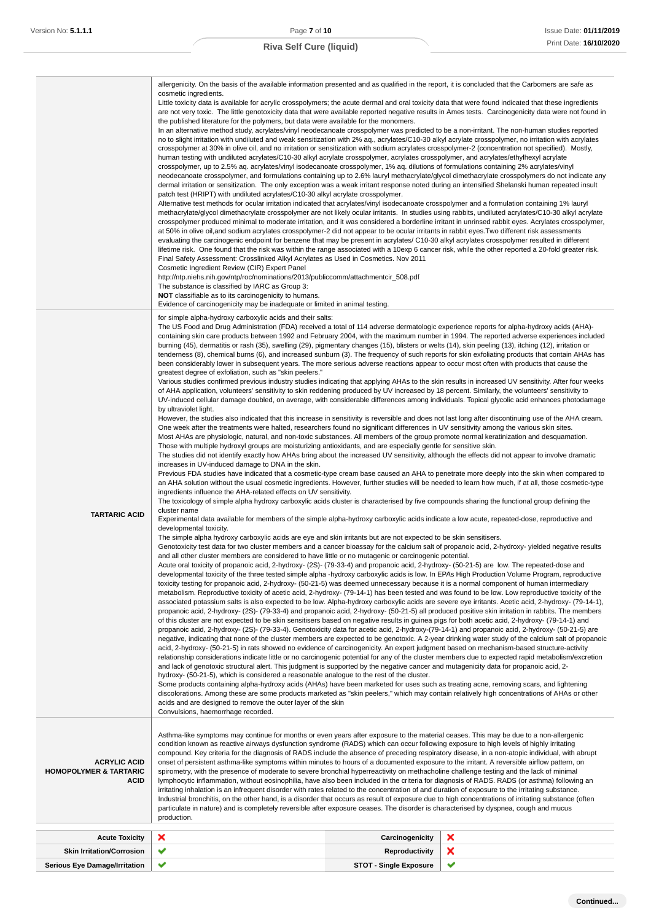|                                                          | allergenicity. On the basis of the available information presented and as qualified in the report, it is concluded that the Carbomers are safe as                                                                                                                                                          |                               |                                                                                                                                                    |
|----------------------------------------------------------|------------------------------------------------------------------------------------------------------------------------------------------------------------------------------------------------------------------------------------------------------------------------------------------------------------|-------------------------------|----------------------------------------------------------------------------------------------------------------------------------------------------|
|                                                          | cosmetic ingredients.<br>Little toxicity data is available for acrylic crosspolymers; the acute dermal and oral toxicity data that were found indicated that these ingredients                                                                                                                             |                               |                                                                                                                                                    |
|                                                          | are not very toxic. The little genotoxicity data that were available reported negative results in Ames tests. Carcinogenicity data were not found in                                                                                                                                                       |                               |                                                                                                                                                    |
|                                                          | the published literature for the polymers, but data were available for the monomers.<br>In an alternative method study, acrylates/vinyl neodecanoate crosspolymer was predicted to be a non-irritant. The non-human studies reported                                                                       |                               |                                                                                                                                                    |
|                                                          | no to slight irritation with undiluted and weak sensitization with 2% aq., acrylates/C10-30 alkyl acrylate crosspolymer, no irritation with acrylates                                                                                                                                                      |                               |                                                                                                                                                    |
|                                                          | crosspolymer at 30% in olive oil, and no irritation or sensitization with sodium acrylates crosspolymer-2 (concentration not specified). Mostly,<br>human testing with undiluted acrylates/C10-30 alkyl acrylate crosspolymer, acrylates crosspolymer, and acrylates/ethylhexyl acrylate                   |                               |                                                                                                                                                    |
|                                                          | crosspolymer, up to 2.5% aq. acrylates/vinyl isodecanoate crosspolymer, 1% aq. dilutions of formulations containing 2% acrylates/vinyl                                                                                                                                                                     |                               |                                                                                                                                                    |
|                                                          | neodecanoate crosspolymer, and formulations containing up to 2.6% lauryl methacrylate/glycol dimethacrylate crosspolymers do not indicate any                                                                                                                                                              |                               |                                                                                                                                                    |
|                                                          | dermal irritation or sensitization. The only exception was a weak irritant response noted during an intensified Shelanski human repeated insult<br>patch test (HRIPT) with undiluted acrylates/C10-30 alkyl acrylate crosspolymer.                                                                         |                               |                                                                                                                                                    |
|                                                          | Alternative test methods for ocular irritation indicated that acrylates/vinyl isodecanoate crosspolymer and a formulation containing 1% lauryl                                                                                                                                                             |                               |                                                                                                                                                    |
|                                                          | methacrylate/glycol dimethacrylate crosspolymer are not likely ocular irritants. In studies using rabbits, undiluted acrylates/C10-30 alkyl acrylate<br>crosspolymer produced minimal to moderate irritation, and it was considered a borderline irritant in unrinsed rabbit eyes. Acrylates crosspolymer, |                               |                                                                                                                                                    |
|                                                          | at 50% in olive oil, and sodium acrylates crosspolymer-2 did not appear to be ocular irritants in rabbit eyes. Two different risk assessments                                                                                                                                                              |                               |                                                                                                                                                    |
|                                                          | evaluating the carcinogenic endpoint for benzene that may be present in acrylates/ C10-30 alkyl acrylates crosspolymer resulted in different                                                                                                                                                               |                               |                                                                                                                                                    |
|                                                          | lifetime risk. One found that the risk was within the range associated with a 10exp 6 cancer risk, while the other reported a 20-fold greater risk.<br>Final Safety Assessment: Crosslinked Alkyl Acrylates as Used in Cosmetics. Nov 2011                                                                 |                               |                                                                                                                                                    |
|                                                          | Cosmetic Ingredient Review (CIR) Expert Panel                                                                                                                                                                                                                                                              |                               |                                                                                                                                                    |
|                                                          | http://ntp.niehs.nih.gov/ntp/roc/nominations/2013/publiccomm/attachmentcir_508.pdf<br>The substance is classified by IARC as Group 3:                                                                                                                                                                      |                               |                                                                                                                                                    |
|                                                          | NOT classifiable as to its carcinogenicity to humans.                                                                                                                                                                                                                                                      |                               |                                                                                                                                                    |
|                                                          | Evidence of carcinogenicity may be inadequate or limited in animal testing.                                                                                                                                                                                                                                |                               |                                                                                                                                                    |
|                                                          | for simple alpha-hydroxy carboxylic acids and their salts:<br>The US Food and Drug Administration (FDA) received a total of 114 adverse dermatologic experience reports for alpha-hydroxy acids (AHA)-                                                                                                     |                               |                                                                                                                                                    |
|                                                          | containing skin care products between 1992 and February 2004, with the maximum number in 1994. The reported adverse experiences included                                                                                                                                                                   |                               |                                                                                                                                                    |
|                                                          | burning (45), dermatitis or rash (35), swelling (29), pigmentary changes (15), blisters or welts (14), skin peeling (13), itching (12), irritation or                                                                                                                                                      |                               |                                                                                                                                                    |
|                                                          | tenderness (8), chemical burns (6), and increased sunburn (3). The frequency of such reports for skin exfoliating products that contain AHAs has<br>been considerably lower in subsequent years. The more serious adverse reactions appear to occur most often with products that cause the                |                               |                                                                                                                                                    |
|                                                          | greatest degree of exfoliation, such as "skin peelers."                                                                                                                                                                                                                                                    |                               |                                                                                                                                                    |
|                                                          | Various studies confirmed previous industry studies indicating that applying AHAs to the skin results in increased UV sensitivity. After four weeks<br>of AHA application, volunteers' sensitivity to skin reddening produced by UV increased by 18 percent. Similarly, the volunteers' sensitivity to     |                               |                                                                                                                                                    |
|                                                          | UV-induced cellular damage doubled, on average, with considerable differences among individuals. Topical glycolic acid enhances photodamage                                                                                                                                                                |                               |                                                                                                                                                    |
|                                                          | by ultraviolet light.<br>However, the studies also indicated that this increase in sensitivity is reversible and does not last long after discontinuing use of the AHA cream.                                                                                                                              |                               |                                                                                                                                                    |
|                                                          | One week after the treatments were halted, researchers found no significant differences in UV sensitivity among the various skin sites.                                                                                                                                                                    |                               |                                                                                                                                                    |
|                                                          | Most AHAs are physiologic, natural, and non-toxic substances. All members of the group promote normal keratinization and desquamation.<br>Those with multiple hydroxyl groups are moisturizing antioxidants, and are especially gentle for sensitive skin.                                                 |                               |                                                                                                                                                    |
|                                                          | The studies did not identify exactly how AHAs bring about the increased UV sensitivity, although the effects did not appear to involve dramatic                                                                                                                                                            |                               |                                                                                                                                                    |
|                                                          | increases in UV-induced damage to DNA in the skin.<br>Previous FDA studies have indicated that a cosmetic-type cream base caused an AHA to penetrate more deeply into the skin when compared to                                                                                                            |                               |                                                                                                                                                    |
|                                                          | an AHA solution without the usual cosmetic ingredients. However, further studies will be needed to learn how much, if at all, those cosmetic-type                                                                                                                                                          |                               |                                                                                                                                                    |
|                                                          | ingredients influence the AHA-related effects on UV sensitivity.<br>The toxicology of simple alpha hydroxy carboxylic acids cluster is characterised by five compounds sharing the functional group defining the                                                                                           |                               |                                                                                                                                                    |
| <b>TARTARIC ACID</b>                                     | cluster name                                                                                                                                                                                                                                                                                               |                               |                                                                                                                                                    |
|                                                          | Experimental data available for members of the simple alpha-hydroxy carboxylic acids indicate a low acute, repeated-dose, reproductive and<br>developmental toxicity.                                                                                                                                      |                               |                                                                                                                                                    |
|                                                          | The simple alpha hydroxy carboxylic acids are eye and skin irritants but are not expected to be skin sensitisers.                                                                                                                                                                                          |                               |                                                                                                                                                    |
|                                                          | Genotoxicity test data for two cluster members and a cancer bioassay for the calcium salt of propanoic acid, 2-hydroxy-yielded negative results<br>and all other cluster members are considered to have little or no mutagenic or carcinogenic potential.                                                  |                               |                                                                                                                                                    |
|                                                          | Acute oral toxicity of propanoic acid, 2-hydroxy- (2S)- (79-33-4) and propanoic acid, 2-hydroxy- (50-21-5) are low. The repeated-dose and                                                                                                                                                                  |                               |                                                                                                                                                    |
|                                                          | developmental toxicity of the three tested simple alpha -hydroxy carboxylic acids is low. In EPA's High Production Volume Program, reproductive<br>toxicity testing for propanoic acid, 2-hydroxy- (50-21-5) was deemed unnecessary because it is a normal component of human intermediary                 |                               |                                                                                                                                                    |
|                                                          | metabolism. Reproductive toxicity of acetic acid, 2-hydroxy- (79-14-1) has been tested and was found to be low. Low reproductive toxicity of the                                                                                                                                                           |                               |                                                                                                                                                    |
|                                                          | associated potassium salts is also expected to be low. Alpha-hydroxy carboxylic acids are severe eye irritants. Acetic acid, 2-hydroxy- (79-14-1),<br>propanoic acid, 2-hydroxy- (2S)- (79-33-4) and propanoic acid, 2-hydroxy- (50-21-5) all produced positive skin irritation in rabbits. The members    |                               |                                                                                                                                                    |
|                                                          | of this cluster are not expected to be skin sensitisers based on negative results in guinea pigs for both acetic acid, 2-hydroxy- (79-14-1) and                                                                                                                                                            |                               |                                                                                                                                                    |
|                                                          | propanoic acid, 2-hydroxy- (2S)- (79-33-4). Genotoxicity data for acetic acid, 2-hydroxy-(79-14-1) and propanoic acid, 2-hydroxy- (50-21-5) are                                                                                                                                                            |                               |                                                                                                                                                    |
|                                                          | acid, 2-hydroxy- (50-21-5) in rats showed no evidence of carcinogenicity. An expert judgment based on mechanism-based structure-activity                                                                                                                                                                   |                               | negative, indicating that none of the cluster members are expected to be genotoxic. A 2-year drinking water study of the calcium salt of propanoic |
|                                                          | relationship considerations indicate little or no carcinogenic potential for any of the cluster members due to expected rapid metabolism/excretion                                                                                                                                                         |                               |                                                                                                                                                    |
|                                                          | and lack of genotoxic structural alert. This judgment is supported by the negative cancer and mutagenicity data for propanoic acid, 2-<br>hydroxy- (50-21-5), which is considered a reasonable analogue to the rest of the cluster.                                                                        |                               |                                                                                                                                                    |
|                                                          | Some products containing alpha-hydroxy acids (AHAs) have been marketed for uses such as treating acne, removing scars, and lightening                                                                                                                                                                      |                               |                                                                                                                                                    |
|                                                          | discolorations. Among these are some products marketed as "skin peelers," which may contain relatively high concentrations of AHAs or other<br>acids and are designed to remove the outer layer of the skin                                                                                                |                               |                                                                                                                                                    |
|                                                          | Convulsions, haemorrhage recorded.                                                                                                                                                                                                                                                                         |                               |                                                                                                                                                    |
|                                                          |                                                                                                                                                                                                                                                                                                            |                               |                                                                                                                                                    |
|                                                          | Asthma-like symptoms may continue for months or even years after exposure to the material ceases. This may be due to a non-allergenic<br>condition known as reactive airways dysfunction syndrome (RADS) which can occur following exposure to high levels of highly irritating                            |                               |                                                                                                                                                    |
|                                                          | compound. Key criteria for the diagnosis of RADS include the absence of preceding respiratory disease, in a non-atopic individual, with abrupt                                                                                                                                                             |                               |                                                                                                                                                    |
| <b>ACRYLIC ACID</b><br><b>HOMOPOLYMER &amp; TARTARIC</b> | onset of persistent asthma-like symptoms within minutes to hours of a documented exposure to the irritant. A reversible airflow pattern, on<br>spirometry, with the presence of moderate to severe bronchial hyperreactivity on methacholine challenge testing and the lack of minimal                     |                               |                                                                                                                                                    |
| ACID                                                     | lymphocytic inflammation, without eosinophilia, have also been included in the criteria for diagnosis of RADS. RADS (or asthma) following an                                                                                                                                                               |                               |                                                                                                                                                    |
|                                                          | irritating inhalation is an infrequent disorder with rates related to the concentration of and duration of exposure to the irritating substance.<br>Industrial bronchitis, on the other hand, is a disorder that occurs as result of exposure due to high concentrations of irritating substance (often    |                               |                                                                                                                                                    |
|                                                          | particulate in nature) and is completely reversible after exposure ceases. The disorder is characterised by dyspnea, cough and mucus                                                                                                                                                                       |                               |                                                                                                                                                    |
|                                                          | production.                                                                                                                                                                                                                                                                                                |                               |                                                                                                                                                    |
| <b>Acute Toxicity</b>                                    | ×                                                                                                                                                                                                                                                                                                          | Carcinogenicity               | ×                                                                                                                                                  |
| <b>Skin Irritation/Corrosion</b>                         | ✔                                                                                                                                                                                                                                                                                                          | <b>Reproductivity</b>         | ×                                                                                                                                                  |
| <b>Serious Eye Damage/Irritation</b>                     | ✔                                                                                                                                                                                                                                                                                                          | <b>STOT - Single Exposure</b> | ✔                                                                                                                                                  |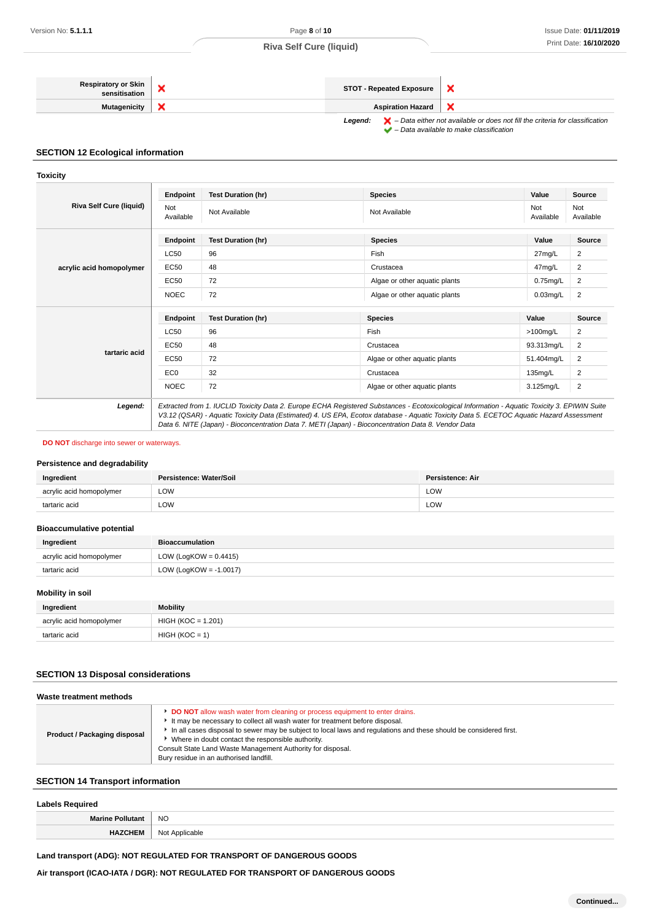#### **Respiratory or Skin x** STOT - Repeated Exposure  $\boldsymbol{\mathsf{x}}$ **Mutagenicity Aspiration Hazard**  $\boldsymbol{\mathsf{x}}$ **Legend:**  $\mathbf{X}$  – Data either not available or does not fill the criteria for classification

– Data available to make classification

### **SECTION 12 Ecological information**

#### **Toxicity**

| <b>Riva Self Cure (liquid)</b> | Endpoint         | <b>Test Duration (hr)</b> | <b>Species</b>                | Value            | <b>Source</b>    |
|--------------------------------|------------------|---------------------------|-------------------------------|------------------|------------------|
|                                | Not<br>Available | Not Available             | Not Available                 | Not<br>Available | Not<br>Available |
|                                | Endpoint         | <b>Test Duration (hr)</b> | <b>Species</b>                | Value            | Source           |
|                                | LC50             | 96                        | Fish                          | 27mg/L           | 2                |
| acrylic acid homopolymer       | <b>EC50</b>      | 48                        | Crustacea                     | 47mg/L           | 2                |
|                                | EC50             | 72                        | Algae or other aquatic plants | $0.75$ mg/L      | 2                |
|                                | <b>NOEC</b>      | 72                        | Algae or other aquatic plants | $0.03$ mg/L      | 2                |
|                                |                  |                           |                               |                  |                  |
|                                | Endpoint         | <b>Test Duration (hr)</b> | <b>Species</b>                | Value            | <b>Source</b>    |
|                                | LC50             | 96                        | Fish                          | $>100$ mg/L      | 2                |
|                                | <b>EC50</b>      | 48                        | Crustacea                     | 93.313mg/L       | $\overline{2}$   |
| tartaric acid                  | <b>EC50</b>      | 72                        | Algae or other aquatic plants | 51.404mg/L       | 2                |
|                                | EC <sub>0</sub>  | 32                        | Crustacea                     | 135mg/L          | 2                |
|                                | <b>NOEC</b>      | 72                        | Algae or other aquatic plants | 3.125mg/L        | 2                |

#### **DO NOT** discharge into sewer or waterways.

#### **Persistence and degradability**

| Ingredient               | Persistence: Water/Soil | <b>Persistence: Air</b> |
|--------------------------|-------------------------|-------------------------|
| acrylic acid homopolymer | LOW                     | LOW                     |
| tartaric acid            | LOW                     | LOW                     |

#### **Bioaccumulative potential**

| Ingredient               | Bioaccumulation          |  |
|--------------------------|--------------------------|--|
| acrylic acid homopolymer | LOW (LogKOW = $0.4415$ ) |  |
| tartaric acid            | LOW (LogKOW = -1.0017)   |  |

## **Mobility in soil**

| Ingredient               | <b>Mobility</b>      |  |
|--------------------------|----------------------|--|
| acrylic acid homopolymer | $HIGH (KOC = 1.201)$ |  |
| tartaric acid            | $HIGH (KOC = 1)$     |  |

# **SECTION 13 Disposal considerations**

| Waste treatment methods      |                                                                                                                                                                                                                                                                                                                                                                                                                                                 |
|------------------------------|-------------------------------------------------------------------------------------------------------------------------------------------------------------------------------------------------------------------------------------------------------------------------------------------------------------------------------------------------------------------------------------------------------------------------------------------------|
| Product / Packaging disposal | DO NOT allow wash water from cleaning or process equipment to enter drains.<br>It may be necessary to collect all wash water for treatment before disposal.<br>In all cases disposal to sewer may be subject to local laws and regulations and these should be considered first.<br>Where in doubt contact the responsible authority.<br>Consult State Land Waste Management Authority for disposal.<br>Bury residue in an authorised landfill. |

# **SECTION 14 Transport information**

# **Labels Required Marine Pollutant** NO **HAZCHEM** Not Applicable

# **Land transport (ADG): NOT REGULATED FOR TRANSPORT OF DANGEROUS GOODS**

**Air transport (ICAO-IATA / DGR): NOT REGULATED FOR TRANSPORT OF DANGEROUS GOODS**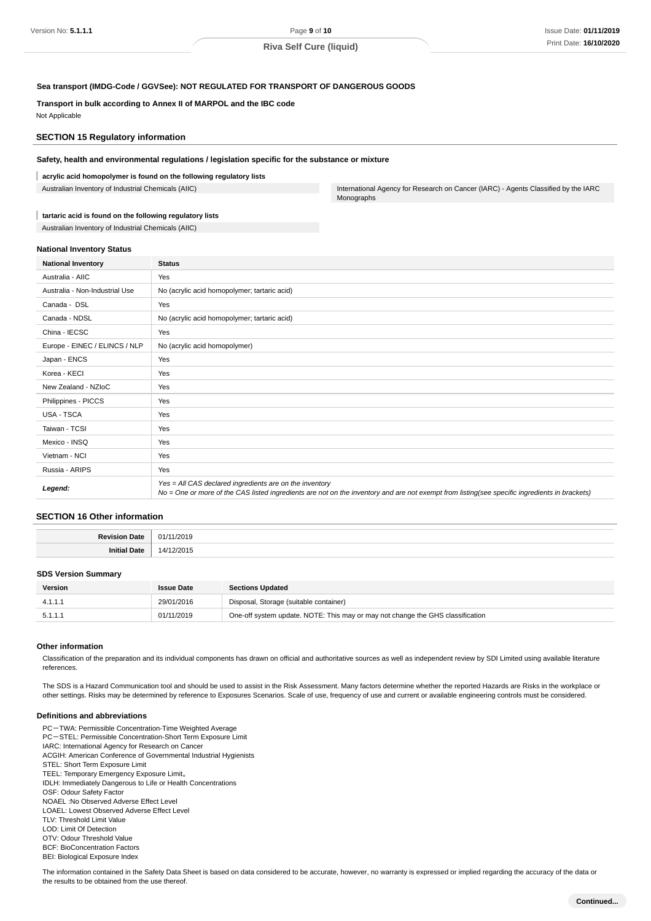**Transport in bulk according to Annex II of MARPOL and the IBC code** Not Applicable

# **SECTION 15 Regulatory information**

#### **Safety, health and environmental regulations / legislation specific for the substance or mixture**

**Sea transport (IMDG-Code / GGVSee): NOT REGULATED FOR TRANSPORT OF DANGEROUS GOODS**

**acrylic acid homopolymer is found on the following regulatory lists**

Australian Inventory of Industrial Chemicals (AIIC) **International Agency for Research on Cancer (IARC)** - Agents Classified by the IARC Monographs

#### ı **tartaric acid is found on the following regulatory lists**

Australian Inventory of Industrial Chemicals (AIIC)

## **National Inventory Status**

| <b>National Inventory</b>      | <b>Status</b>                                                                                                                                                                                            |  |  |
|--------------------------------|----------------------------------------------------------------------------------------------------------------------------------------------------------------------------------------------------------|--|--|
| Australia - AIIC               | Yes                                                                                                                                                                                                      |  |  |
| Australia - Non-Industrial Use | No (acrylic acid homopolymer; tartaric acid)                                                                                                                                                             |  |  |
| Canada - DSL                   | Yes                                                                                                                                                                                                      |  |  |
| Canada - NDSL                  | No (acrylic acid homopolymer; tartaric acid)                                                                                                                                                             |  |  |
| China - IECSC                  | Yes                                                                                                                                                                                                      |  |  |
| Europe - EINEC / ELINCS / NLP  | No (acrylic acid homopolymer)                                                                                                                                                                            |  |  |
| Japan - ENCS                   | Yes                                                                                                                                                                                                      |  |  |
| Korea - KECI                   | Yes                                                                                                                                                                                                      |  |  |
| New Zealand - NZIoC            | Yes                                                                                                                                                                                                      |  |  |
| Philippines - PICCS            | Yes                                                                                                                                                                                                      |  |  |
| USA - TSCA                     | Yes                                                                                                                                                                                                      |  |  |
| Taiwan - TCSI                  | Yes                                                                                                                                                                                                      |  |  |
| Mexico - INSQ                  | Yes                                                                                                                                                                                                      |  |  |
| Vietnam - NCI                  | Yes                                                                                                                                                                                                      |  |  |
| Russia - ARIPS                 | Yes                                                                                                                                                                                                      |  |  |
| Legend:                        | Yes = All CAS declared ingredients are on the inventory<br>No = One or more of the CAS listed ingredients are not on the inventory and are not exempt from listing(see specific ingredients in brackets) |  |  |

#### **SECTION 16 Other information**

| Date<br>-Povie <sup>-</sup><br>.  | 1/201<br>. |
|-----------------------------------|------------|
| $\cdots$<br>Initia<br><b>Date</b> |            |

#### **SDS Version Summary**

| Version | <b>Issue Date</b> | <b>Sections Updated</b>                                                        |
|---------|-------------------|--------------------------------------------------------------------------------|
|         | 29/01/2016        | Disposal, Storage (suitable container)                                         |
| 5.1.1.1 | 01/11/2019        | One-off system update. NOTE: This may or may not change the GHS classification |

#### **Other information**

Classification of the preparation and its individual components has drawn on official and authoritative sources as well as independent review by SDI Limited using available literature references.

The SDS is a Hazard Communication tool and should be used to assist in the Risk Assessment. Many factors determine whether the reported Hazards are Risks in the workplace or other settings. Risks may be determined by reference to Exposures Scenarios. Scale of use, frequency of use and current or available engineering controls must be considered.

#### **Definitions and abbreviations**

PC-TWA: Permissible Concentration-Time Weighted Average PC-STEL: Permissible Concentration-Short Term Exposure Limit IARC: International Agency for Research on Cancer ACGIH: American Conference of Governmental Industrial Hygienists STEL: Short Term Exposure Limit TEEL: Temporary Emergency Exposure Limit。 IDLH: Immediately Dangerous to Life or Health Concentrations OSF: Odour Safety Factor NOAEL :No Observed Adverse Effect Level LOAEL: Lowest Observed Adverse Effect Level TLV: Threshold Limit Value LOD: Limit Of Detection OTV: Odour Threshold Value BCF: BioConcentration Factors BEI: Biological Exposure Index

The information contained in the Safety Data Sheet is based on data considered to be accurate, however, no warranty is expressed or implied regarding the accuracy of the data or the results to be obtained from the use thereof.